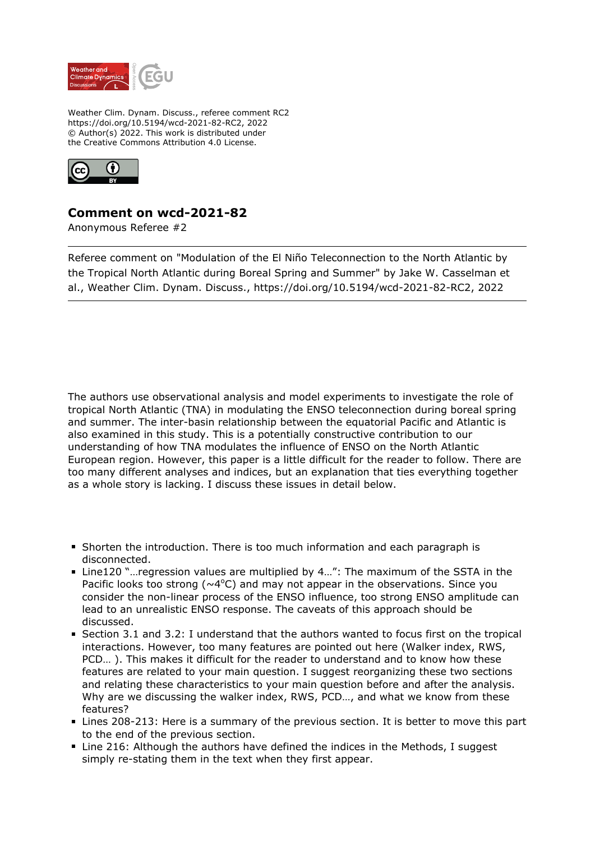

Weather Clim. Dynam. Discuss., referee comment RC2 https://doi.org/10.5194/wcd-2021-82-RC2, 2022 © Author(s) 2022. This work is distributed under the Creative Commons Attribution 4.0 License.



## **Comment on wcd-2021-82**

Anonymous Referee #2

Referee comment on "Modulation of the El Niño Teleconnection to the North Atlantic by the Tropical North Atlantic during Boreal Spring and Summer" by Jake W. Casselman et al., Weather Clim. Dynam. Discuss., https://doi.org/10.5194/wcd-2021-82-RC2, 2022

The authors use observational analysis and model experiments to investigate the role of tropical North Atlantic (TNA) in modulating the ENSO teleconnection during boreal spring and summer. The inter-basin relationship between the equatorial Pacific and Atlantic is also examined in this study. This is a potentially constructive contribution to our understanding of how TNA modulates the influence of ENSO on the North Atlantic European region. However, this paper is a little difficult for the reader to follow. There are too many different analyses and indices, but an explanation that ties everything together as a whole story is lacking. I discuss these issues in detail below.

- Shorten the introduction. There is too much information and each paragraph is disconnected.
- Line120 "... regression values are multiplied by 4...": The maximum of the SSTA in the Pacific looks too strong ( $\sim$ 4°C) and may not appear in the observations. Since you consider the non-linear process of the ENSO influence, too strong ENSO amplitude can lead to an unrealistic ENSO response. The caveats of this approach should be discussed.
- Section 3.1 and 3.2: I understand that the authors wanted to focus first on the tropical interactions. However, too many features are pointed out here (Walker index, RWS, PCD… ). This makes it difficult for the reader to understand and to know how these features are related to your main question. I suggest reorganizing these two sections and relating these characteristics to your main question before and after the analysis. Why are we discussing the walker index, RWS, PCD…, and what we know from these features?
- **Lines 208-213: Here is a summary of the previous section. It is better to move this part** to the end of the previous section.
- Line 216: Although the authors have defined the indices in the Methods, I suggest simply re-stating them in the text when they first appear.